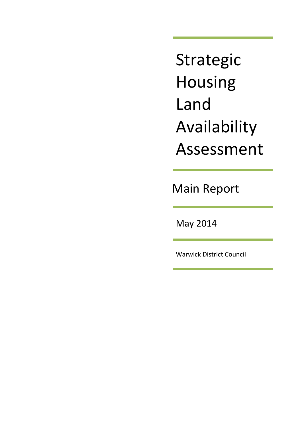Strategic Housing Land Availability Assessment

Main Report

May 2014

Warwick District Council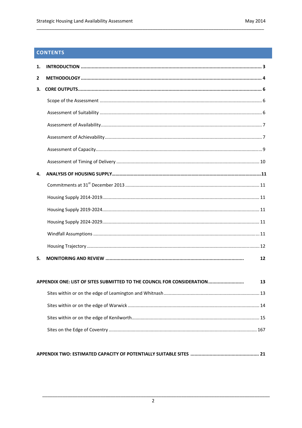# **CONTENTS**

| 1. |                                                                              |
|----|------------------------------------------------------------------------------|
| 2  |                                                                              |
| З. |                                                                              |
|    |                                                                              |
|    |                                                                              |
|    |                                                                              |
|    |                                                                              |
|    |                                                                              |
|    |                                                                              |
| 4. |                                                                              |
|    |                                                                              |
|    |                                                                              |
|    |                                                                              |
|    |                                                                              |
|    |                                                                              |
|    |                                                                              |
| 5. | 12                                                                           |
|    |                                                                              |
|    | APPENDIX ONE: LIST OF SITES SUBMITTED TO THE COUNCIL FOR CONSIDERATION<br>13 |
|    |                                                                              |

#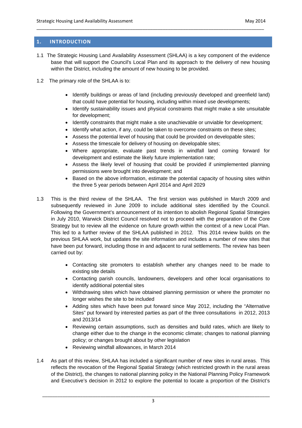## **1. INTRODUCTION**

1.1 The Strategic Housing Land Availability Assessment (SHLAA) is a key component of the evidence base that will support the Council's Local Plan and its approach to the delivery of new housing within the District, including the amount of new housing to be provided.

- 1.2 The primary role of the SHLAA is to:
	- Identify buildings or areas of land (including previously developed and greenfield land) that could have potential for housing, including within mixed use developments;
	- Identify sustainability issues and physical constraints that might make a site unsuitable for development;
	- Identify constraints that might make a site unachievable or unviable for development;
	- Identify what action, if any, could be taken to overcome constraints on these sites;
	- Assess the potential level of housing that could be provided on developable sites;
	- Assess the timescale for delivery of housing on developable sites;
	- Where appropriate, evaluate past trends in windfall land coming forward for development and estimate the likely future implementation rate;
	- Assess the likely level of housing that could be provided if unimplemented planning permissions were brought into development; and
	- Based on the above information, estimate the potential capacity of housing sites within the three 5 year periods between April 2014 and April 2029
- 1.3 This is the third review of the SHLAA. The first version was published in March 2009 and subsequently reviewed in June 2009 to include additional sites identified by the Council. Following the Government's announcement of its intention to abolish Regional Spatial Strategies in July 2010, Warwick District Council resolved not to proceed with the preparation of the Core Strategy but to review all the evidence on future growth within the context of a new Local Plan. This led to a further review of the SHLAA published in 2012. This 2014 review builds on the previous SHLAA work, but updates the site information and includes a number of new sites that have been put forward, including those in and adjacent to rural settlements. The review has been carried out by:
	- Contacting site promoters to establish whether any changes need to be made to existing site details
	- Contacting parish councils, landowners, developers and other local organisations to identify additional potential sites
	- Withdrawing sites which have obtained planning permission or where the promoter no longer wishes the site to be included
	- Adding sites which have been put forward since May 2012, including the "Alternative Sites" put forward by interested parties as part of the three consultations in 2012, 2013 and 2013/14
	- Reviewing certain assumptions, such as densities and build rates, which are likely to change either due to the change in the economic climate; changes to national planning policy; or changes brought about by other legislation
	- Reviewing windfall allowances, in March 2014
- 1.4 As part of this review, SHLAA has included a significant number of new sites in rural areas. This reflects the revocation of the Regional Spatial Strategy (which restricted growth in the rural areas of the District), the changes to national planning policy in the National Planning Policy Framework and Executive's decision in 2012 to explore the potential to locate a proportion of the District's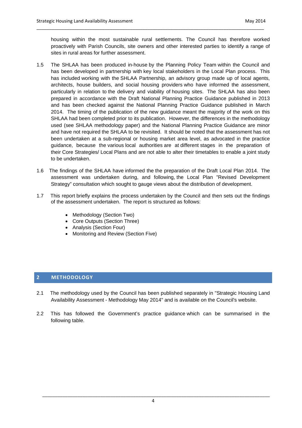housing within the most sustainable rural settlements. The Council has therefore worked proactively with Parish Councils, site owners and other interested parties to identify a range of sites in rural areas for further assessment.

\_\_\_\_\_\_\_\_\_\_\_\_\_\_\_\_\_\_\_\_\_\_\_\_\_\_\_\_\_\_\_\_\_\_\_\_\_\_\_\_\_\_\_\_\_\_\_\_\_\_\_\_\_\_\_\_\_\_\_\_\_\_\_\_\_\_\_\_\_\_\_\_\_\_\_\_\_\_\_\_\_\_\_\_\_\_\_\_\_\_

- 1.5 The SHLAA has been produced in-house by the Planning Policy Team within the Council and has been developed in partnership with key local stakeholders in the Local Plan process. This has included working with the SHLAA Partnership, an advisory group made up of local agents, architects, house builders, and social housing providers who have informed the assessment, particularly in relation to the delivery and viability of housing sites. The SHLAA has also been prepared in accordance with the Draft National Planning Practice Guidance published in 2013 and has been checked against the National Planning Practice Guidance published in March 2014. The timing of the publication of the new guidance meant the majority of the work on this SHLAA had been completed prior to its publication. However, the differences in the methodology used (see SHLAA methodology paper) and the National Planning Practice Guidance are minor and have not required the SHLAA to be revisited. It should be noted that the assessment has not been undertaken at a sub-regional or housing market area level, as advocated in the practice guidance, because the various local authorities are at different stages in the preparation of their Core Strategies/ Local Plans and are not able to alter their timetables to enable a joint study to be undertaken.
- 1.6 The findings of the SHLAA have informed the the preparation of the Draft Local Plan 2014. The assessment was undertaken during, and following, the Local Plan "Revised Development Strategy" consultation which sought to gauge views about the distribution of development.
- 1.7 This report briefly explains the process undertaken by the Council and then sets out the findings of the assessment undertaken. The report is structured as follows:
	- Methodology (Section Two)
	- Core Outputs (Section Three)
	- **Analysis (Section Four)**
	- Monitoring and Review (Section Five)

## **2 METHODOLOGY**

- 2.1 The methodology used by the Council has been published separately in "Strategic Housing Land Availability Assessment - Methodology May 2014" and is available on the Council's website.
- 2.2 This has followed the Government's practice guidance which can be summarised in the following table.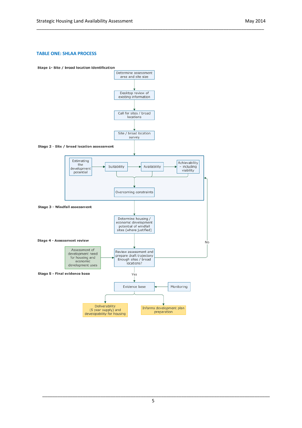#### **TABLE ONE: SHLAA PROCESS**

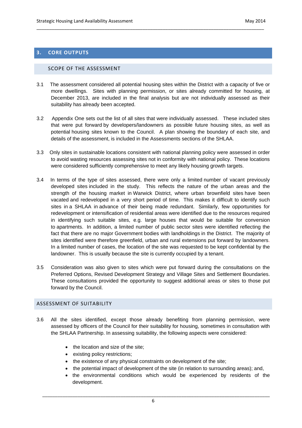## **3. CORE OUTPUTS**

#### SCOPE OF THE ASSESSMENT

3.1 The assessment considered all potential housing sites within the District with a capacity of five or more dwellings. Sites with planning permission, or sites already committed for housing, at December 2013, are included in the final analysis but are not individually assessed as their suitability has already been accepted.

\_\_\_\_\_\_\_\_\_\_\_\_\_\_\_\_\_\_\_\_\_\_\_\_\_\_\_\_\_\_\_\_\_\_\_\_\_\_\_\_\_\_\_\_\_\_\_\_\_\_\_\_\_\_\_\_\_\_\_\_\_\_\_\_\_\_\_\_\_\_\_\_\_\_\_\_\_\_\_\_\_\_\_\_\_\_\_\_\_\_

- 3.2 Appendix One sets out the list of all sites that were individually assessed. These included sites that were put forward by developers/landowners as possible future housing sites, as well as potential housing sites known to the Council. A plan showing the boundary of each site, and details of the assessment, is included in the Assessments sections of the SHLAA.
- 3.3 Only sites in sustainable locations consistent with national planning policy were assessed in order to avoid wasting resources assessing sites not in conformity with national policy. These locations were considered sufficiently comprehensive to meet any likely housing growth targets.
- 3.4 In terms of the type of sites assessed, there were only a limited number of vacant previously developed sites included in the study. This reflects the nature of the urban areas and the strength of the housing market in Warwick District, where urban brownfield sites have been vacated and redeveloped in a very short period of time. This makes it difficult to identify such sites in a SHLAA in advance of their being made redundant. Similarly, few opportunities for redevelopment or intensification of residential areas were identified due to the resources required in identifying such suitable sites, e.g. large houses that would be suitable for conversion to apartments. In addition, a limited number of public sector sites were identified reflecting the fact that there are no major Government bodies with landholdings in the District. The majority of sites identified were therefore greenfield, urban and rural extensions put forward by landowners. In a limited number of cases, the location of the site was requested to be kept confidential by the landowner. This is usually because the site is currently occupied by a tenant.
- 3.5 Consideration was also given to sites which were put forward during the consultations on the Preferred Options, Revised Development Strategy and Village Sites and Settlement Boundaries. These consultations provided the opportunity to suggest additional areas or sites to those put forward by the Council.

## ASSESSMENT OF SUITABILITY

- 3.6 All the sites identified, except those already benefiting from planning permission, were assessed by officers of the Council for their suitability for housing, sometimes in consultation with the SHLAA Partnership. In assessing suitability, the following aspects were considered:
	- the location and size of the site;
	- existing policy restrictions;
	- the existence of any physical constraints on development of the site;
	- the potential impact of development of the site (in relation to surrounding areas); and,
	- the environmental conditions which would be experienced by residents of the development.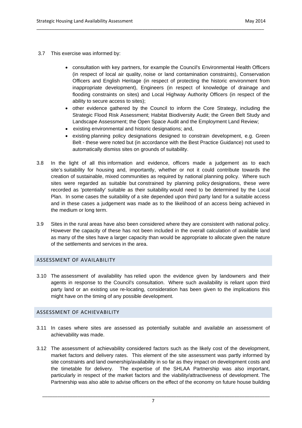- 3.7 This exercise was informed by:
	- consultation with key partners, for example the Council's Environmental Health Officers (in respect of local air quality, noise or land contamination constraints), Conservation Officers and English Heritage (in respect of protecting the historic environment from inappropriate development), Engineers (in respect of knowledge of drainage and flooding constraints on sites) and Local Highway Authority Officers (in respect of the ability to secure access to sites);

- other evidence gathered by the Council to inform the Core Strategy, including the Strategic Flood Risk Assessment; Habitat Biodiversity Audit; the Green Belt Study and Landscape Assessment; the Open Space Audit and the Employment Land Review;
- existing environmental and historic designations; and,
- existing planning policy designations designed to constrain development, e.g. Green Belt - these were noted but (in accordance with the Best Practice Guidance) not used to automatically dismiss sites on grounds of suitability.
- 3.8 In the light of all this information and evidence, officers made a judgement as to each site's suitability for housing and, importantly, whether or not it could contribute towards the creation of sustainable, mixed communities as required by national planning policy. Where such sites were regarded as suitable but constrained by planning policy designations, these were recorded as 'potentially' suitable as their suitability would need to be determined by the Local Plan. In some cases the suitability of a site depended upon third party land for a suitable access and in these cases a judgement was made as to the likelihood of an access being achieved in the medium or long term.
- 3.9 Sites in the rural areas have also been considered where they are consistent with national policy. However the capacity of these has not been included in the overall calculation of available land as many of the sites have a larger capacity than would be appropriate to allocate given the nature of the settlements and services in the area.

### ASSESSMENT OF AVAILABILITY

3.10 The assessment of availability has relied upon the evidence given by landowners and their agents in response to the Council's consultation. Where such availability is reliant upon third party land or an existing use re-locating, consideration has been given to the implications this might have on the timing of any possible development.

### ASSESSMENT OF ACHIEVABILITY

- 3.11 In cases where sites are assessed as potentially suitable and available an assessment of achievability was made.
- 3.12 The assessment of achievability considered factors such as the likely cost of the development, market factors and delivery rates. This element of the site assessment was partly informed by site constraints and land ownership/availability in so far as they impact on development costs and the timetable for delivery. The expertise of the SHLAA Partnership was also important, particularly in respect of the market factors and the viability/attractiveness of development. The Partnership was also able to advise officers on the effect of the economy on future house building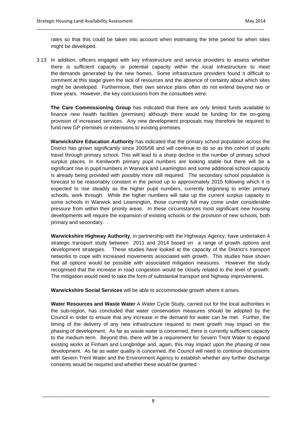rates so that this could be taken into account when estimating the time period for when sites might be developed.

3.13 In addition, officers engaged with key infrastructure and service providers to assess whether there is sufficient capacity or potential capacity within the local infrastructure to meet the demands generated by the new homes. Some infrastructure providers found it difficult to comment at this stage given the lack of resources and the absence of certainty about which sites might be developed. Furthermore, their own service plans often do not extend beyond two or three years. However, the key conclusions from the consultees were:

\_\_\_\_\_\_\_\_\_\_\_\_\_\_\_\_\_\_\_\_\_\_\_\_\_\_\_\_\_\_\_\_\_\_\_\_\_\_\_\_\_\_\_\_\_\_\_\_\_\_\_\_\_\_\_\_\_\_\_\_\_\_\_\_\_\_\_\_\_\_\_\_\_\_\_\_\_\_\_\_\_\_\_\_\_\_\_\_\_\_

 **The Care Commissioning Group** has indicated that there are only limited funds available to finance new health facilities (premises) although there would be funding for the on-going provision of increased services. Any new development proposals may therefore be required to fund new GP premises or extensions to existing premises.

 **Warwickshire Education Authority** has indicated that the primary school population across the District has grown significantly since 2005/06 and will continue to do so as this cohort of pupils travel through primary school. This will lead to a sharp decline in the number of primary school surplus places. In Kenilworth primary pupil numbers are looking stable but there will be a significant rise in pupil numbers in Warwick and Leamington and some additional school capacity is already being provided with possibly more still required. The secondary school population is forecast to be reasonably constant in the period up to approximately 2015 following which it is expected to rise steadily as the higher pupil numbers, currently beginning to enter primary schools, work through. While the higher numbers will take up the current surplus capacity in some schools in Warwick and Leamington, those currently full may come under considerable pressure from within their priority areas. In these circumstances most significant new housing developments will require the expansion of existing schools or the provision of new schools, both primary and secondary. .

**Warwickshire Highway Authority**, in partnership with the Highways Agency, have undertaken 4 strategic transport study between 2011 and 2014 based on a range of growth options and development strategies. These studies have looked at the capacity of the District's transport networks to cope with increased movements associated with growth. This studies have shown that all options would be possible with associated mitigation measures. However the study recognised that the increase in road congestion would be closely related to the level of growth. The mitigation would need to take the form of substantial transport and highway improvements.

**Warwickshire Social Services** will be able to accommodate growth where it arises.

**Water Resources and Waste Water** A Water Cycle Study, carried out for the local authorities in the sub-region, has concluded that water conservation measures should be adopted by the Council in order to ensure that any increase in the demand for water can be met. Further, the timing of the delivery of any new infrastructure required to meet growth may impact on the phasing of development. As far as waste water is concerned, there is currently sufficient capacity to the medium term. Beyond this, there will be a requirement for Severn Trent Water to expand existing works at Finham and Longbridge and, again, this may impact upon the phasing of new development. As far as water quality is concerned, the Council will need to continue discussions with Severn Trent Water and the Environment Agency to establish whether any further discharge consents would be required and whether these would be granted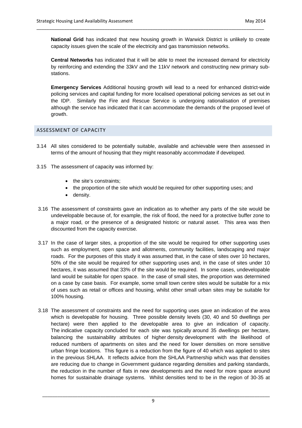**National Grid** has indicated that new housing growth in Warwick District is unlikely to create capacity issues given the scale of the electricity and gas transmission networks.

\_\_\_\_\_\_\_\_\_\_\_\_\_\_\_\_\_\_\_\_\_\_\_\_\_\_\_\_\_\_\_\_\_\_\_\_\_\_\_\_\_\_\_\_\_\_\_\_\_\_\_\_\_\_\_\_\_\_\_\_\_\_\_\_\_\_\_\_\_\_\_\_\_\_\_\_\_\_\_\_\_\_\_\_\_\_\_\_\_\_

**Central Networks** has indicated that it will be able to meet the increased demand for electricity by reinforcing and extending the 33kV and the 11kV network and constructing new primary substations.

**Emergency Services** Additional housing growth will lead to a need for enhanced district-wide policing services and capital funding for more localised operational policing services as set out in the IDP. Similarly the Fire and Rescue Service is undergoing rationalisation of premises although the service has indicated that it can accommodate the demands of the proposed level of growth.

# ASSESSMENT OF CAPACITY

- 3.14 All sites considered to be potentially suitable, available and achievable were then assessed in terms of the amount of housing that they might reasonably accommodate if developed.
- 3.15 The assessment of capacity was informed by:
	- the site's constraints;
	- the proportion of the site which would be required for other supporting uses; and
	- density.
- 3.16 The assessment of constraints gave an indication as to whether any parts of the site would be undevelopable because of, for example, the risk of flood, the need for a protective buffer zone to a major road, or the presence of a designated historic or natural asset. This area was then discounted from the capacity exercise.
- 3.17 In the case of larger sites, a proportion of the site would be required for other supporting uses such as employment, open space and allotments, community facilities, landscaping and major roads. For the purposes of this study it was assumed that, in the case of sites over 10 hectares, 50% of the site would be required for other supporting uses and, in the case of sites under 10 hectares, it was assumed that 33% of the site would be required. In some cases, undevelopable land would be suitable for open space. In the case of small sites, the proportion was determined on a case by case basis. For example, some small town centre sites would be suitable for a mix of uses such as retail or offices and housing, whilst other small urban sites may be suitable for 100% housing.
- 3.18 The assessment of constraints and the need for supporting uses gave an indication of the area which is developable for housing. Three possible density levels (30, 40 and 50 dwellings per hectare) were then applied to the developable area to give an indication of capacity. The indicative capacity concluded for each site was typically around 35 dwellings per hectare, balancing the sustainability attributes of higher density development with the likelihood of reduced numbers of apartments on sites and the need for lower densities on more sensitive urban fringe locations. This figure is a reduction from the figure of 40 which was applied to sites in the previous SHLAA. It reflects advice from the SHLAA Partnership which was that densities are reducing due to change in Government guidance regarding densities and parking standards, the reduction in the number of flats in new developments and the need for more space around homes for sustainable drainage systems. Whilst densities tend to be in the region of 30-35 at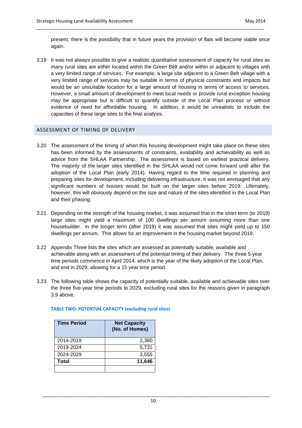present, there is the possibility that in future years the provision of flats will become viable once again.

\_\_\_\_\_\_\_\_\_\_\_\_\_\_\_\_\_\_\_\_\_\_\_\_\_\_\_\_\_\_\_\_\_\_\_\_\_\_\_\_\_\_\_\_\_\_\_\_\_\_\_\_\_\_\_\_\_\_\_\_\_\_\_\_\_\_\_\_\_\_\_\_\_\_\_\_\_\_\_\_\_\_\_\_\_\_\_\_\_\_

3.19 It was not always possible to give a realistic quantitative assessment of capacity for rural sites as many rural sites are either located within the Green Belt and/or within or adjacent to villages with a very limited range of services. For example, a large site adjacent to a Green Belt village with a very limited range of services may be suitable in terms of physical constraints and impacts but would be an unsuitable location for a large amount of housing in terms of access to services. However, a small amount of development to meet local needs or provide rural exception housing may be appropriate but is difficult to quantify outside of the Local Plan process or without evidence of need for affordable housing. In addition, it would be unrealistic to include the capacities of these large sites to the final analysis.

## ASSESSMENT OF TIMING OF DELIVERY

- 3.20 The assessment of the timing of when this housing development might take place on these sites has been informed by the assessments of constraints, availability and achievability as well as advice from the SHLAA Partnership. The assessment is based on earliest practical delivery. The majority of the larger sites identified in the SHLAA would not come forward until after the adoption of the Local Plan (early 2014). Having regard to the time required in planning and preparing sites for development, including delivering infrastructure, it was not envisaged that any significant numbers of houses would be built on the larger sites before 2019. Ultimately, however, this will obviously depend on the size and nature of the sites identified in the Local Plan and their phasing.
- 3.21 Depending on the strength of the housing market, it was assumed that in the short term (to 2019) large sites might yield a maximum of 100 dwellings per annum assuming more than one housebuilder. In the longer term (after 2019) it was assumed that sites might yield up to 150 dwellings per annum. This allows for an improvement in the housing market beyond 2019.
- 3.22 Appendix Three lists the sites which are assessed as potentially suitable, available and achievable along with an assessment of the potential timing of their delivery. The three 5-year time periods commence in April 2014, which is the year of the likely adoption of the Local Plan, and end in 2029, allowing for a 15 year time period.
- 3.23 The following table shows the capacity of potentially suitable, available and achievable sites over the three five-year time periods to 2029, excluding rural sites for the reasons given in paragraph 3.9 above.

| <b>Time Period</b> | <b>Net Capacity</b><br>(No. of Homes) |
|--------------------|---------------------------------------|
| 2014-2019          | 2,360                                 |
| 2019-2024          | 5,731                                 |
| 2024-2029          | 3,555                                 |
| Total              | 11,646                                |
|                    |                                       |

### **TABLE TWO: POTENTIAL CAPACITY (excluding rural sites)**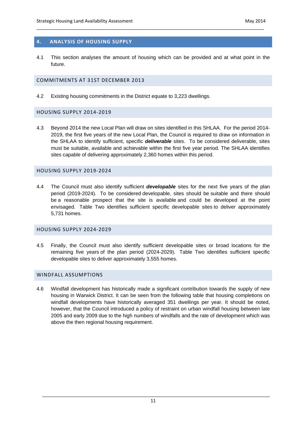## **4. ANALYSIS OF HOUSING SUPPLY**

4.1 This section analyses the amount of housing which can be provided and at what point in the future.

\_\_\_\_\_\_\_\_\_\_\_\_\_\_\_\_\_\_\_\_\_\_\_\_\_\_\_\_\_\_\_\_\_\_\_\_\_\_\_\_\_\_\_\_\_\_\_\_\_\_\_\_\_\_\_\_\_\_\_\_\_\_\_\_\_\_\_\_\_\_\_\_\_\_\_\_\_\_\_\_\_\_\_\_\_\_\_\_\_\_

#### COMMITMENTS AT 31ST DECEMBER 2013

4.2 Existing housing commitments in the District equate to 3,223 dwellings.

## HOUSING SUPPLY 2014‐2019

4.3 Beyond 2014 the new Local Plan will draw on sites identified in this SHLAA. For the period 2014- 2019, the first five years of the new Local Plan, the Council is required to draw on information in the SHLAA to identify sufficient, specific *deliverable* sites. To be considered deliverable, sites must be suitable, available and achievable within the first five year period. The SHLAA identifies sites capable of delivering approximately 2,360 homes within this period.

### HOUSING SUPPLY 2019‐2024

4.4 The Council must also identify sufficient *developable* sites for the next five years of the plan period (2019-2024). To be considered developable, sites should be suitable and there should be a reasonable prospect that the site is available and could be developed at the point envisaged. Table Two identifies sufficient specific developable sites to deliver approximately 5,731 homes.

#### HOUSING SUPPLY 2024‐2029

4.5 Finally, the Council must also identify sufficient developable sites or broad locations for the remaining five years of the plan period (2024-2029). Table Two identifies sufficient specific developable sites to deliver approximately 3,555 homes.

### WINDFALL ASSUMPTIONS

4.6 Windfall development has historically made a significant contribution towards the supply of new housing in Warwick District. It can be seen from the following table that housing completions on windfall developments have historically averaged 351 dwellings per year. It should be noted, however, that the Council introduced a policy of restraint on urban windfall housing between late 2005 and early 2009 due to the high numbers of windfalls and the rate of development which was above the then regional housing requirement.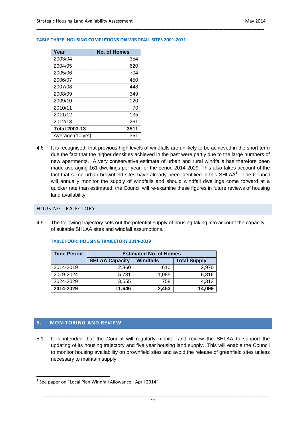| <b>No. of Homes</b> |
|---------------------|
| 354                 |
| 620                 |
| 704                 |
| 450                 |
| 448                 |
| 349                 |
| 120                 |
| 70                  |
| 135                 |
| 261                 |
| 3511                |
| 351                 |
|                     |

#### **TABLE THREE: HOUSING COMPLETIONS ON WINDFALL SITES 2001‐2011**

4.8 It is recognised, that previous high levels of windfalls are unlikely to be achieved in the short term due the fact that the higher densities achieved in the past were partly due to the large numbers of new apartments. A very conservative estimate of urban and rural windfalls has therefore been made averaging 161 dwellings per year for the period 2014-2029. This also takes account of the fact that some urban brownfield sites have already been identified in this SHLAA<sup>1</sup>. The Council will annually monitor the supply of windfalls and should windfall dwellings come forward at a quicker rate than estimated, the Council will re-examine these figures in future reviews of housing land availability.

\_\_\_\_\_\_\_\_\_\_\_\_\_\_\_\_\_\_\_\_\_\_\_\_\_\_\_\_\_\_\_\_\_\_\_\_\_\_\_\_\_\_\_\_\_\_\_\_\_\_\_\_\_\_\_\_\_\_\_\_\_\_\_\_\_\_\_\_\_\_\_\_\_\_\_\_\_\_\_\_\_\_\_\_\_\_\_\_\_\_

## HOUSING TRAJECTORY

4.9 The following trajectory sets out the potential supply of housing taking into account the capacity of suitable SHLAA sites and windfall assumptions.

| <b>Time Period</b> | <b>Estimated No. of Homes</b> |                  |                     |  |
|--------------------|-------------------------------|------------------|---------------------|--|
|                    | <b>SHLAA Capacity</b>         | <b>Windfalls</b> | <b>Total Supply</b> |  |
| 2014-2019          | 2.360                         | 610              | 2,970               |  |
| 2019-2024          | 5.731                         | 1,085            | 6,816               |  |
| 2024-2029          | 3,555                         | 758              | 4,313               |  |
| 2014-2029          | 11,646                        | 2,453            | 14,099              |  |

#### **TABLE FOUR: HOUSING TRAJECTORY 2014‐2029**

### **5. MONITORING AND REVIEW**

5.1 It is intended that the Council will regularly monitor and review the SHLAA to support the updating of its housing trajectory and five year housing land supply. This will enable the Council to monitor housing availability on brownfield sites and avoid the release of greenfield sites unless necessary to maintain supply.

 $1$  See paper on "Local Plan Windfall Allowance - April 2014"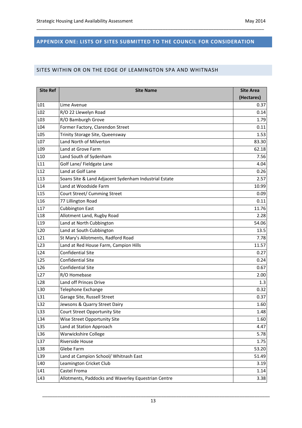#### **APPENDIX ONE: LISTS OF SITES SUBMITTED TO THE COUNCIL FOR CONSIDERATION**

\_\_\_\_\_\_\_\_\_\_\_\_\_\_\_\_\_\_\_\_\_\_\_\_\_\_\_\_\_\_\_\_\_\_\_\_\_\_\_\_\_\_\_\_\_\_\_\_\_\_\_\_\_\_\_\_\_\_\_\_\_\_\_\_\_\_\_\_\_\_\_\_\_\_\_\_\_\_\_\_\_\_\_\_\_\_\_\_\_\_

# SITES WITHIN OR ON THE EDGE OF LEAMINGTON SPA AND WHITNASH

| <b>Site Ref</b> | <b>Site Name</b>                                      | <b>Site Area</b> |
|-----------------|-------------------------------------------------------|------------------|
|                 |                                                       | (Hectares)       |
| L01             | Lime Avenue                                           | 0.37             |
| L <sub>02</sub> | R/O 22 Llewelyn Road                                  | 0.14             |
| L03             | R/O Bamburgh Grove                                    | 1.79             |
| L04             | Former Factory, Clarendon Street                      | 0.11             |
| L05             | Trinity Storage Site, Queensway                       | 1.53             |
| L07             | Land North of Milverton                               | 83.30            |
| L09             | Land at Grove Farm                                    | 62.18            |
| L <sub>10</sub> | Land South of Sydenham                                | 7.56             |
| L11             | Golf Lane/ Fieldgate Lane                             | 4.04             |
| L12             | Land at Golf Lane                                     | 0.26             |
| L <sub>13</sub> | Soans Site & Land Adjacent Sydenham Industrial Estate | 2.57             |
| L14             | Land at Woodside Farm                                 | 10.99            |
| L <sub>15</sub> | Court Street/ Cumming Street                          | 0.09             |
| L <sub>16</sub> | 77 Lillington Road                                    | 0.11             |
| L17             | <b>Cubbington East</b>                                | 11.76            |
| L <sub>18</sub> | Allotment Land, Rugby Road                            | 2.28             |
| L <sub>19</sub> | Land at North Cubbington                              | 54.06            |
| L <sub>20</sub> | Land at South Cubbington                              | 13.5             |
| L21             | St Mary's Allotments, Radford Road                    | 7.78             |
| L23             | Land at Red House Farm, Campion Hills                 | 11.57            |
| L <sub>24</sub> | <b>Confidential Site</b>                              | 0.27             |
| L25             | <b>Confidential Site</b>                              | 0.24             |
| L <sub>26</sub> | <b>Confidential Site</b>                              | 0.67             |
| L27             | R/O Homebase                                          | 2.00             |
| L <sub>28</sub> | Land off Princes Drive                                | 1.3              |
| L30             | Telephone Exchange                                    | 0.32             |
| L31             | Garage Site, Russell Street                           | 0.37             |
| L32             | Jewsons & Quarry Street Dairy                         | 1.60             |
| L33             | Court Street Opportunity Site                         | 1.48             |
| L34             | Wise Street Opportunity Site                          | 1.60             |
| L35             | Land at Station Approach                              | 4.47             |
| L36             | Warwickshire College                                  | 5.78             |
| L37             | Riverside House                                       | 1.75             |
| L38             | Glebe Farm                                            | 53.20            |
| L39             | Land at Campion School/ Whitnash East                 | 51.49            |
| L40             | Leamington Cricket Club                               | 3.19             |
| L41             | Castel Froma                                          | 1.14             |
| L43             | Allotments, Paddocks and Waverley Equestrian Centre   | 3.38             |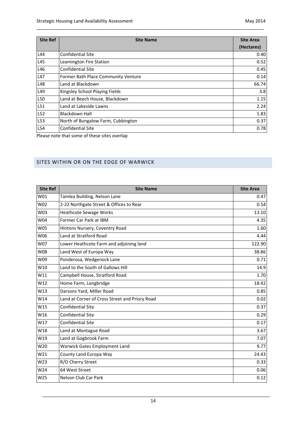| <b>Site Ref</b> | <b>Site Name</b>                    | <b>Site Area</b> |
|-----------------|-------------------------------------|------------------|
|                 |                                     | (Hectares)       |
| L44             | <b>Confidential Site</b>            | 0.40             |
| L45             | Leamington Fire Station             | 0.52             |
| L46             | <b>Confidential Site</b>            | 0.45             |
| L47             | Former Bath Place Community Venture | 0.14             |
| L48             | Land at Blackdown                   | 66.74            |
| L49             | Kingsley School Playing Fields      | 3.8              |
| L50             | Land at Beech House, Blackdown      | 1.15             |
| L51             | Land at Lakeside Lawns              | 2.24             |
| L <sub>52</sub> | Blackdown Hall                      | 1.83             |
| L <sub>53</sub> | North of Bungalow Farm, Cubbington  | 0.37             |
| L54             | <b>Confidential Site</b>            | 0.78             |

Please note that some of these sites overlap

## SITES WITHIN OR ON THE EDGE OF WARWICK

| <b>Site Ref</b> | <b>Site Name</b>                               | <b>Site Area</b> |
|-----------------|------------------------------------------------|------------------|
| W01             | Tamlea Building, Nelson Lane                   | 0.47             |
| W02             | 2-22 Northgate Street & Offices to Rear        | 0.54             |
| W03             | <b>Heathcote Sewage Works</b>                  | 13.10            |
| W04             | Former Car Park at IBM                         | 4.35             |
| <b>W05</b>      | Hintons Nursery, Coventry Road                 | 1.60             |
| W06             | Land at Stratford Road                         | 4.44             |
| W07             | Lower Heathcote Farm and adjoining land        | 122.90           |
| W08             | Land West of Europa Way                        | 38.86            |
| W09             | Ponderosa, Wedgenock Lane                      | 0.71             |
| W10             | Land to the South of Gallows Hill              | 14.9             |
| W11             | Campbell House, Stratford Road                 | 1.70             |
| W12             | Home Farm, Longbridge                          | 18.42            |
| W13             | Darsons Yard, Miller Road                      | 0.85             |
| W14             | Land at Corner of Cross Street and Priory Road | 0.02             |
| W15             | <b>Confidential Site</b>                       | 0.37             |
| W16             | <b>Confidential Site</b>                       | 0.29             |
| W17             | <b>Confidential Site</b>                       | 0.17             |
| W18             | Land at Montague Road                          | 3.67             |
| W19             | Land at Gogbrook Farm                          | 7.07             |
| W20             | Warwick Gates Employment Land                  | 9.77             |
| W <sub>21</sub> | County Land Europa Way                         | 24.43            |
| W23             | R/O Cherry Street                              | 0.33             |
| W24             | 64 West Street                                 | 0.06             |
| W25             | Nelson Club Car Park                           | 0.12             |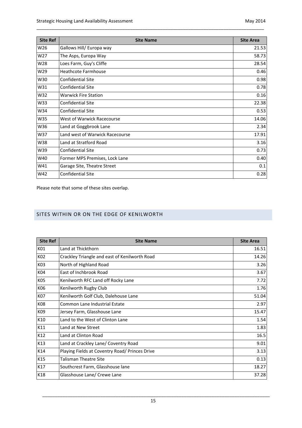| Site Ref | <b>Site Name</b>                | <b>Site Area</b> |
|----------|---------------------------------|------------------|
| W26      | Gallows Hill/ Europa way        | 21.53            |
| W27      | The Asps, Europa Way            | 58.73            |
| W28      | Loes Farm, Guy's Cliffe         | 28.54            |
| W29      | <b>Heathcote Farmhouse</b>      | 0.46             |
| W30      | <b>Confidential Site</b>        | 0.98             |
| W31      | <b>Confidential Site</b>        | 0.78             |
| W32      | Warwick Fire Station            | 0.16             |
| W33      | <b>Confidential Site</b>        | 22.38            |
| W34      | <b>Confidential Site</b>        | 0.53             |
| W35      | West of Warwick Racecourse      | 14.06            |
| W36      | Land at Goggbrook Lane          | 2.34             |
| W37      | Land west of Warwick Racecourse | 17.91            |
| W38      | Land at Stratford Road          | 3.16             |
| W39      | <b>Confidential Site</b>        | 0.73             |
| W40      | Former MPS Premises, Lock Lane  | 0.40             |
| W41      | Garage Site, Theatre Street     | 0.1              |
| W42      | <b>Confidential Site</b>        | 0.28             |

Please note that some of these sites overlap.

# SITES WITHIN OR ON THE EDGE OF KENILWORTH

| <b>Site Ref</b> | <b>Site Name</b>                               | <b>Site Area</b> |
|-----------------|------------------------------------------------|------------------|
| K01             | Land at Thickthorn                             | 16.51            |
| K02             | Crackley Triangle and east of Kenilworth Road  | 14.26            |
| K03             | North of Highland Road                         | 3.26             |
| K04             | East of Inchbrook Road                         | 3.67             |
| K05             | Kenilworth RFC Land off Rocky Lane             | 7.72             |
| K06             | Kenilworth Rugby Club                          | 1.76             |
| K07             | Kenilworth Golf Club, Dalehouse Lane           | 51.04            |
| K08             | <b>Common Lane Industrial Estate</b>           | 2.97             |
| K09             | Jersey Farm, Glasshouse Lane                   | 15.47            |
| K10             | Land to the West of Clinton Lane               | 1.54             |
| K11             | Land at New Street                             | 1.83             |
| K12             | Land at Clinton Road                           | 16.5             |
| K13             | Land at Crackley Lane/ Coventry Road           | 9.01             |
| K14             | Playing Fields at Coventry Road/ Princes Drive | 3.13             |
| K15             | <b>Talisman Theatre Site</b>                   | 0.13             |
| K17             | Southcrest Farm, Glasshouse lane               | 18.27            |
| K18             | Glasshouse Lane/ Crewe Lane                    | 37.28            |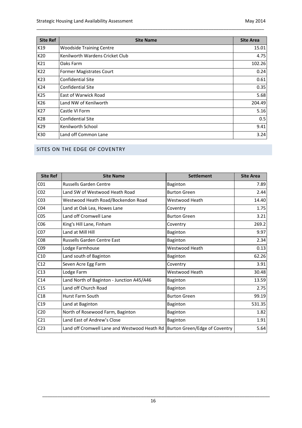| <b>Site Ref</b> | <b>Site Name</b>                | <b>Site Area</b> |
|-----------------|---------------------------------|------------------|
| K19             | <b>Woodside Training Centre</b> | 15.01            |
| K20             | Kenilworth Wardens Cricket Club | 4.75             |
| K21             | Oaks Farm                       | 102.26           |
| K22             | <b>Former Magistrates Court</b> | 0.24             |
| K23             | <b>Confidential Site</b>        | 0.61             |
| K24             | <b>Confidential Site</b>        | 0.35             |
| K25             | East of Warwick Road            | 5.68             |
| K26             | Land NW of Kenilworth           | 204.49           |
| K27             | Castle VI Form                  | 5.16             |
| K28             | <b>Confidential Site</b>        | 0.5              |
| K29             | Kenilworth School               | 9.41             |
| K30             | Land off Common Lane            | 3.24             |

# SITES ON THE EDGE OF COVENTRY

| <b>Site Ref</b> | <b>Site Name</b>                                                             | <b>Settlement</b>   | <b>Site Area</b> |
|-----------------|------------------------------------------------------------------------------|---------------------|------------------|
| CO <sub>1</sub> | <b>Russells Garden Centre</b>                                                | Baginton            | 7.89             |
| CO <sub>2</sub> | Land SW of Westwood Heath Road                                               | <b>Burton Green</b> | 2.44             |
| CO <sub>3</sub> | Westwood Heath Road/Bockendon Road                                           | Westwood Heath      | 14.40            |
| CO <sub>4</sub> | Land at Oak Lea, Howes Lane                                                  | Coventry            | 1.75             |
| CO <sub>5</sub> | Land off Cromwell Lane                                                       | <b>Burton Green</b> | 3.21             |
| C <sub>06</sub> | King's Hill Lane, Finham                                                     | Coventry            | 269.2            |
| CO <sub>7</sub> | Land at Mill Hill                                                            | Baginton            | 9.97             |
| CO8             | <b>Russells Garden Centre East</b>                                           | Baginton            | 2.34             |
| CO <sub>9</sub> | Lodge Farmhouse                                                              | Westwood Heath      | 0.13             |
| C10             | Land south of Baginton                                                       | Baginton            | 62.26            |
| C12             | Seven Acre Egg Farm                                                          | Coventry            | 3.91             |
| C13             | Lodge Farm                                                                   | Westwood Heath      | 30.48            |
| C14             | Land North of Baginton - Junction A45/A46                                    | Baginton            | 13.59            |
| C15             | Land off Church Road                                                         | Baginton            | 2.75             |
| C18             | Hurst Farm South                                                             | <b>Burton Green</b> | 99.19            |
| C19             | Land at Baginton                                                             | Baginton            | 531.35           |
| C <sub>20</sub> | North of Rosewood Farm, Baginton                                             | Baginton            | 1.82             |
| C <sub>21</sub> | Land East of Andrew's Close                                                  | Baginton            | 1.91             |
| C <sub>23</sub> | Land off Cromwell Lane and Westwood Heath Rd   Burton Green/Edge of Coventry |                     | 5.64             |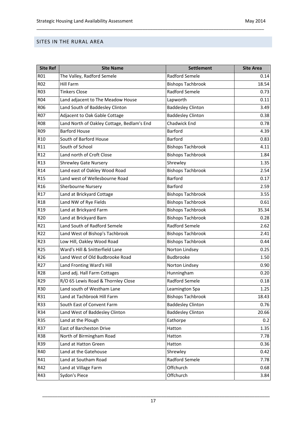# SITES IN THE RURAL AREA

| <b>Site Ref</b> | <b>Site Name</b>                           | <b>Settlement</b>        | <b>Site Area</b> |
|-----------------|--------------------------------------------|--------------------------|------------------|
| R01             | The Valley, Radford Semele                 | <b>Radford Semele</b>    | 0.14             |
| R <sub>02</sub> | <b>Hill Farm</b>                           | <b>Bishops Tachbrook</b> | 18.54            |
| R03             | <b>Tinkers Close</b>                       | <b>Radford Semele</b>    | 0.73             |
| <b>R04</b>      | Land adjacent to The Meadow House          | Lapworth                 | 0.11             |
| <b>R06</b>      | Land South of Baddesley Clinton            | <b>Baddesley Clinton</b> | 3.49             |
| <b>R07</b>      | Adjacent to Oak Gable Cottage              | <b>Baddesley Clinton</b> | 0.38             |
| <b>R08</b>      | Land North of Oakley Cottage, Bedlam's End | Chadwick End             | 0.78             |
| <b>R09</b>      | <b>Barford House</b>                       | <b>Barford</b>           | 4.39             |
| R <sub>10</sub> | South of Barford House                     | <b>Barford</b>           | 0.83             |
| R11             | South of School                            | <b>Bishops Tachbrook</b> | 4.11             |
| R <sub>12</sub> | Land north of Croft Close                  | <b>Bishops Tachbrook</b> | 1.84             |
| R13             | <b>Shrewley Gate Nursery</b>               | Shrewley                 | 1.35             |
| R <sub>14</sub> | Land east of Oakley Wood Road              | <b>Bishops Tachbrook</b> | 2.54             |
| R <sub>15</sub> | Land west of Wellesbourne Road             | <b>Barford</b>           | 0.17             |
| R <sub>16</sub> | <b>Sherbourne Nursery</b>                  | <b>Barford</b>           | 2.59             |
| R17             | Land at Brickyard Cottage                  | <b>Bishops Tachbrook</b> | 3.55             |
| R <sub>18</sub> | Land NW of Rye Fields                      | <b>Bishops Tachbrook</b> | 0.61             |
| R19             | Land at Brickyard Farm                     | <b>Bishops Tachbrook</b> | 35.34            |
| R <sub>20</sub> | Land at Brickyard Barn                     | <b>Bishops Tachbrook</b> | 0.28             |
| R21             | Land South of Radford Semele               | <b>Radford Semele</b>    | 2.62             |
| R22             | Land West of Bishop's Tachbrook            | <b>Bishops Tachbrook</b> | 2.41             |
| R23             | Low Hill, Oakley Wood Road                 | <b>Bishops Tachbrook</b> | 0.44             |
| R <sub>25</sub> | Ward's Hill & Snitterfield Lane            | Norton Lindsey           | 0.25             |
| R26             | Land West of Old Budbrooke Road            | Budbrooke                | 1.50             |
| R27             | Land Fronting Ward's Hill                  | Norton Lindsey           | 0.90             |
| R28             | Land adj. Hall Farm Cottages               | Hunningham               | 0.20             |
| R29             | R/O 65 Lewis Road & Thornley Close         | Radford Semele           | 0.18             |
| <b>R30</b>      | Land south of Westham Lane                 | Leamington Spa           | 1.25             |
| R31             | Land at Tachbrook Hill Farm                | <b>Bishops Tachbrook</b> |                  |
| R33             | South East of Convent Farm                 | <b>Baddesley Clinton</b> | 0.76             |
| R34             | Land West of Baddesley Clinton             | <b>Baddesley Clinton</b> | 20.66            |
| <b>R35</b>      | Land at the Plough                         | Eathorpe                 | 0.2              |
| <b>R37</b>      | East of Barcheston Drive                   | Hatton                   | 1.35             |
| R38             | North of Birmingham Road                   | Hatton                   | 7.78             |
| R39             | Land at Hatton Green                       | Hatton                   | 0.36             |
| R40             | Land at the Gatehouse                      | Shrewley                 | 0.42             |
| R41             | Land at Southam Road                       | Radford Semele           | 7.78             |
| R42             | Land at Village Farm                       | Offchurch                | 0.68             |
| R43             | Sydon's Piece                              | Offchurch                | 3.84             |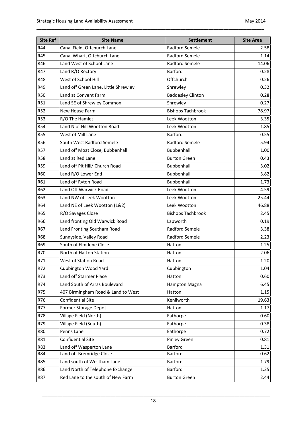| <b>Site Ref</b> | <b>Site Name</b>                     | <b>Settlement</b>        | <b>Site Area</b> |
|-----------------|--------------------------------------|--------------------------|------------------|
| R44             | Canal Field, Offchurch Lane          | <b>Radford Semele</b>    | 2.58             |
| <b>R45</b>      | Canal Wharf, Offchurch Lane          | Radford Semele           | 1.14             |
| R46             | Land West of School Lane             | <b>Radford Semele</b>    | 14.06            |
| R47             | Land R/O Rectory                     | Barford                  | 0.28             |
| <b>R48</b>      | West of School Hill                  | Offchurch                | 0.26             |
| R49             | Land off Green Lane, Little Shrewley | Shrewley                 | 0.32             |
| <b>R50</b>      | Land at Convent Farm                 | <b>Baddesley Clinton</b> | 0.28             |
| <b>R51</b>      | Land SE of Shrewley Common           | Shrewley                 | 0.27             |
| <b>R52</b>      | New House Farm                       | <b>Bishops Tachbrook</b> | 78.97            |
| <b>R53</b>      | R/O The Hamlet                       | Leek Wootton             | 3.35             |
| <b>R54</b>      | Land N of Hill Wootton Road          | Leek Wootton             | 1.85             |
| <b>R55</b>      | West of Mill Lane                    | Barford                  | 0.55             |
| <b>R56</b>      | South West Radford Semele            | Radford Semele           | 5.94             |
| <b>R57</b>      | Land off Moat Close, Bubbenhall      | Bubbenhall               | 1.00             |
| <b>R58</b>      | Land at Red Lane                     | <b>Burton Green</b>      | 0.43             |
| <b>R59</b>      | Land off Pit Hill/ Church Road       | Bubbenhall               | 3.02             |
| R60             | Land R/O Lower End                   | Bubbenhall               | 3.82             |
| R61             | Land off Ryton Road                  | <b>Bubbenhall</b>        | 1.73             |
| R62             | Land Off Warwick Road                | Leek Wootton             | 4.59             |
| R63             | Land NW of Leek Wootton              | Leek Wootton             | 25.44            |
| R64             | Land NE of Leek Wootton (1&2)        | Leek Wootton             | 46.88            |
| R65             | R/O Savages Close                    | <b>Bishops Tachbrook</b> | 2.45             |
| R66             | Land fronting Old Warwick Road       | Lapworth                 | 0.19             |
| R67             | Land Fronting Southam Road           | <b>Radford Semele</b>    | 3.38             |
| <b>R68</b>      | Sunnyside, Valley Road               | Radford Semele           | 2.23             |
| R69             | South of Elmdene Close               | Hatton                   | 1.25             |
| R70             | North of Hatton Station              | Hatton                   | 2.06             |
| R71             | West of Station Road                 | Hatton                   | 1.20             |
| R72             | Cubbington Wood Yard                 | Cubbington               | 1.04             |
| R73             | Land off Starmer Place               | Hatton                   | 0.60             |
| R74             | Land South of Arras Boulevard        | <b>Hampton Magna</b>     | 6.45             |
| R75             | 407 Birmingham Road & Land to West   | Hatton                   | 1.15             |
| R76             | Confidential Site                    | Kenilworth               | 19.63            |
| R77             | Former Storage Depot                 | Hatton                   | 1.17             |
| R78             | Village Field (North)                | Eathorpe                 | 0.60             |
| R79             | Village Field (South)                | Eathorpe                 | 0.38             |
| <b>R80</b>      | Penns Lane                           | Eathorpe                 | 0.72             |
| R81             | Confidential Site                    | Pinley Green             | 0.81             |
| R83             | Land off Wasperton Lane              | Barford                  | 1.31             |
| R84             | Land off Bremridge Close             | Barford                  | 0.62             |
| R85             | Land south of Westham Lane           | Barford                  | 1.79             |
| R86             | Land North of Telephone Exchange     | Barford                  | 1.25             |
| <b>R87</b>      | Red Lane to the south of New Farm    | <b>Burton Green</b>      | 2.44             |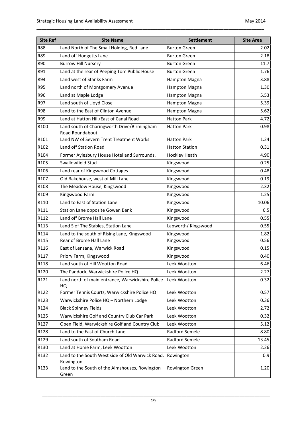| <b>Site Ref</b> | <b>Site Name</b>                                               | <b>Settlement</b>     | <b>Site Area</b> |
|-----------------|----------------------------------------------------------------|-----------------------|------------------|
| <b>R88</b>      | Land North of The Small Holding, Red Lane                      | <b>Burton Green</b>   | 2.02             |
| R89             | Land off Hodgetts Lane                                         | <b>Burton Green</b>   | 2.18             |
| R90             | <b>Burrow Hill Nursery</b>                                     | <b>Burton Green</b>   | 11.7             |
| R91             | Land at the rear of Peeping Tom Public House                   | <b>Burton Green</b>   | 1.76             |
| R94             | Land west of Stanks Farm                                       | Hampton Magna         | 3.88             |
| <b>R95</b>      | Land north of Montgomery Avenue                                | Hampton Magna         | 1.30             |
| R96             | Land at Maple Lodge                                            | Hampton Magna         | 5.53             |
| R97             | Land south of Lloyd Close                                      | Hampton Magna         | 5.39             |
| <b>R98</b>      | Land to the East of Clinton Avenue                             | Hampton Magna         | 5.62             |
| R99             | Land at Hatton Hill/East of Canal Road                         | <b>Hatton Park</b>    | 4.72             |
| R100            | Land south of Charingworth Drive/Birmingham<br>Road Roundabout | <b>Hatton Park</b>    | 0.98             |
| R101            | Land NW of Severn Trent Treatment Works                        | <b>Hatton Park</b>    | 1.24             |
| R102            | Land off Station Road                                          | <b>Hatton Station</b> | 0.31             |
| R104            | Former Aylesbury House Hotel and Surrounds.                    | Hockley Heath         | 4.90             |
| R105            | Swallowfield Stud                                              | Kingswood             | 0.25             |
| R106            | Land rear of Kingswood Cottages                                | Kingswood             | 0.48             |
| R107            | Old Bakehouse, west of Mill Lane.                              | Kingswood             | 0.19             |
| R108            | The Meadow House, Kingswood                                    | Kingswood             | 2.32             |
| R109            | Kingswood Farm                                                 | Kingswood             | 1.25             |
| R110            | Land to East of Station Lane                                   | Kingswood             | 10.06            |
| R111            | Station Lane opposite Gowan Bank                               | Kingswood             | 6.5              |
| R112            | Land off Brome Hall Lane                                       | Kingswood             | 0.55             |
| R113            | Land S of The Stables, Station Lane                            | Lapworth/ Kingswood   | 0.55             |
| R114            | Land to the south of Rising Lane, Kingswood                    | Kingswood             | 1.82             |
| R115            | Rear of Brome Hall Lane                                        | Kingswood             | 0.56             |
| R116            | East of Lensana, Warwick Road                                  | Kingswood             | 0.15             |
| R117            | Priory Farm, Kingswood                                         | Kingswood             | 0.40             |
| R118            | Land south of Hill Wootton Road                                | Leek Wootton          | 6.46             |
| R120            | The Paddock, Warwickshire Police HQ                            | Leek Wootton          | 2.27             |
| R121            | Land north of main entrance, Warwickshire Police<br>HQ         | Leek Wootton          | 0.32             |
| R122            | Former Tennis Courts, Warwickshire Police HQ                   | Leek Wootton          | 0.57             |
| R123            | Warwickshire Police HQ - Northern Lodge                        | Leek Wootton          | 0.36             |
| R124            | <b>Black Spinney Fields</b>                                    | Leek Wootton          | 2.72             |
| R125            | Warwickshire Golf and Country Club Car Park                    | Leek Wootton          | 0.32             |
| R127            | Open Field, Warwickshire Golf and Country Club                 | Leek Wootton          | 5.12             |
| R128            | Land to the East of Church Lane                                | Radford Semele        | 8.80             |
| R129            | Land south of Southam Road                                     | Radford Semele        | 13.45            |
| R130            | Land at Home Farm, Leek Wootton                                | Leek Wootton          | 2.26             |
| R132            | Land to the South West side of Old Warwick Road,<br>Rowington  | Rowington             | 0.9              |
| R133            | Land to the South of the Almshouses, Rowington<br>Green        | Rowington Green       | 1.20             |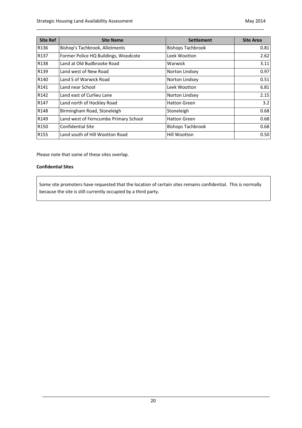| <b>Site Ref</b>  | <b>Site Name</b>                      | <b>Settlement</b>        | <b>Site Area</b> |
|------------------|---------------------------------------|--------------------------|------------------|
| R136             | Bishop's Tachbrook, Allotments        | <b>Bishops Tachbrook</b> | 0.81             |
| R <sub>137</sub> | Former Police HQ Buildings, Woodcote  | Leek Wootton             | 2.62             |
| R138             | Land at Old Budbrooke Road            | Warwick                  | 3.11             |
| R139             | Land west of New Road                 | Norton Lindsey           | 0.97             |
| R140             | Land S of Warwick Road                | Norton Lindsey           | 0.51             |
| R141             | Land near School                      | Leek Wootton             | 6.81             |
| R142             | Land east of Curlieu Lane             | Norton Lindsey           | 2.15             |
| R <sub>147</sub> | Land north of Hockley Road            | <b>Hatton Green</b>      | 3.2              |
| R148             | Birmingham Road, Stoneleigh           | Stoneleigh               | 0.68             |
| R149             | Land west of Ferncumbe Primary School | <b>Hatton Green</b>      | 0.68             |
| R150             | <b>Confidential Site</b>              | <b>Bishops Tachbrook</b> | 0.68             |
| R155             | Land south of Hill Wootton Road       | <b>Hill Wootton</b>      | 0.50             |

Please note that some of these sites overlap.

#### **Confidential Sites**

Some site promoters have requested that the location of certain sites remains confidential. This is normally because the site is still currently occupied by a third party.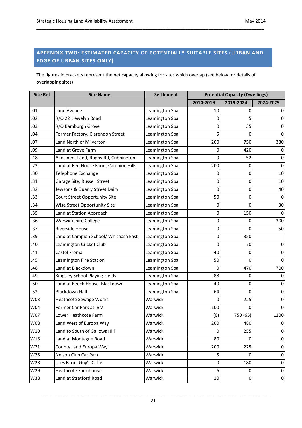# **APPENDIX TWO: ESTIMATED CAPACITY OF POTENTIALLY SUITABLE SITES (URBAN AND EDGE OF URBAN SITES ONLY)**

\_\_\_\_\_\_\_\_\_\_\_\_\_\_\_\_\_\_\_\_\_\_\_\_\_\_\_\_\_\_\_\_\_\_\_\_\_\_\_\_\_\_\_\_\_\_\_\_\_\_\_\_\_\_\_\_\_\_\_\_\_\_\_\_\_\_\_\_\_\_\_\_\_\_\_\_\_\_\_\_\_\_\_\_\_\_\_\_\_\_

The figures in brackets represent the net capacity allowing for sites which overlap (see below for details of overlapping sites)

| <b>Site Ref</b> | <b>Site Name</b>                      | <b>Settlement</b> | <b>Potential Capacity (Dwellings)</b> |             |             |
|-----------------|---------------------------------------|-------------------|---------------------------------------|-------------|-------------|
|                 |                                       |                   | 2014-2019                             | 2019-2024   | 2024-2029   |
| L01             | Lime Avenue                           | Leamington Spa    | 10                                    | 0           | 0           |
| L02             | R/O 22 Llewelyn Road                  | Leamington Spa    | 0                                     | 5           | 0           |
| L03             | R/O Bamburgh Grove                    | Leamington Spa    | 0                                     | 35          | 0           |
| L04             | Former Factory, Clarendon Street      | Leamington Spa    | 5                                     | 0           | 0           |
| L07             | Land North of Milverton               | Leamington Spa    | 200                                   | 750         | 330         |
| L09             | Land at Grove Farm                    | Leamington Spa    | 0                                     | 420         | 0           |
| L18             | Allotment Land, Rugby Rd, Cubbington  | Leamington Spa    | 0                                     | 52          | 0           |
| L23             | Land at Red House Farm, Campion Hills | Leamington Spa    | 200                                   | 0           | 0           |
| L30             | Telephone Exchange                    | Leamington Spa    | 0                                     | $\Omega$    | 10          |
| L31             | Garage Site, Russell Street           | Leamington Spa    | 0                                     | 0           | 10          |
| L32             | Jewsons & Quarry Street Dairy         | Leamington Spa    | 0                                     | 0           | 40          |
| L33             | Court Street Opportunity Site         | Leamington Spa    | 50                                    | $\mathbf 0$ | $\mathbf 0$ |
| L34             | Wise Street Opportunity Site          | Leamington Spa    | 0                                     | 0           | 30          |
| L35             | Land at Station Approach              | Leamington Spa    | 0                                     | 150         | $\Omega$    |
| L36             | Warwickshire College                  | Leamington Spa    | 0                                     | 0           | 300         |
| L37             | Riverside House                       | Leamington Spa    | 0                                     | 0           | 50          |
| L39             | Land at Campion School/ Whitnash East | Leamington Spa    | 0                                     | 350         |             |
| L40             | Leamington Cricket Club               | Leamington Spa    | 0                                     | 70          | 0           |
| L41             | Castel Froma                          | Leamington Spa    | 40                                    | 0           | 0           |
| L45             | Leamington Fire Station               | Leamington Spa    | 50                                    | 0           | $\mathbf 0$ |
| L48             | Land at Blackdown                     | Leamington Spa    | 0                                     | 470         | 700         |
| L49             | Kingsley School Playing Fields        | Leamington Spa    | 88                                    | 0           | 0           |
| L50             | Land at Beech House, Blackdown        | Leamington Spa    | 40                                    | 0           | 0           |
| L52             | <b>Blackdown Hall</b>                 | Leamington Spa    | 64                                    | $\Omega$    | 0           |
| W03             | <b>Heathcote Sewage Works</b>         | Warwick           | 0                                     | 225         | 0           |
| W04             | Former Car Park at IBM                | Warwick           | 100                                   | $\Omega$    | 0           |
| W07             | Lower Heathcote Farm                  | Warwick           | (0)                                   | 750 (65)    | 1200        |
| <b>W08</b>      | Land West of Europa Way               | Warwick           | 200                                   | 480         | 0           |
| W10             | Land to South of Gallows Hill         | Warwick           | 0                                     | 255         | 0           |
| W18             | Land at Montague Road                 | Warwick           | 80                                    | 0           | 0           |
| W <sub>21</sub> | County Land Europa Way                | Warwick           | 200                                   | 225         | 0           |
| W25             | Nelson Club Car Park                  | Warwick           | 5                                     | 0           | 0           |
| W28             | Loes Farm, Guy's Cliffe               | Warwick           | 0                                     | 180         | 0           |
| W29             | <b>Heathcote Farmhouse</b>            | Warwick           | 6                                     | 0           | 0           |
| W38             | Land at Stratford Road                | Warwick           | $10\,$                                | 0           | $\pmb{0}$   |